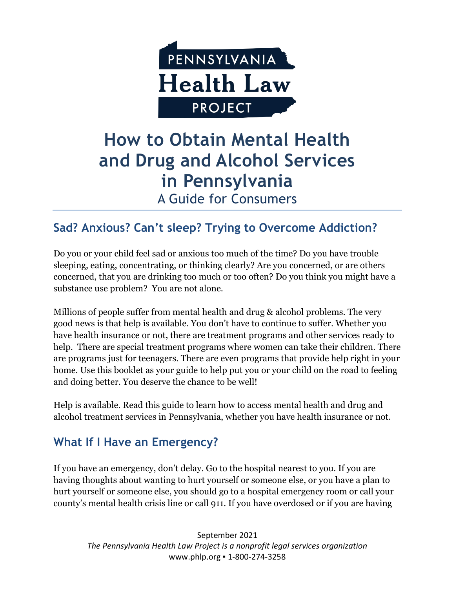

# **How to Obtain Mental Health and Drug and Alcohol Services in Pennsylvania** A Guide for Consumers

# **Sad? Anxious? Can't sleep? Trying to Overcome Addiction?**

Do you or your child feel sad or anxious too much of the time? Do you have trouble sleeping, eating, concentrating, or thinking clearly? Are you concerned, or are others concerned, that you are drinking too much or too often? Do you think you might have a substance use problem? You are not alone.

Millions of people suffer from mental health and drug & alcohol problems. The very good news is that help is available. You don't have to continue to suffer. Whether you have health insurance or not, there are treatment programs and other services ready to help. There are special treatment programs where women can take their children. There are programs just for teenagers. There are even programs that provide help right in your home. Use this booklet as your guide to help put you or your child on the road to feeling and doing better. You deserve the chance to be well!

Help is available. Read this guide to learn how to access mental health and drug and alcohol treatment services in Pennsylvania, whether you have health insurance or not.

# **What If I Have an Emergency?**

If you have an emergency, don't delay. Go to the hospital nearest to you. If you are having thoughts about wanting to hurt yourself or someone else, or you have a plan to hurt yourself or someone else, you should go to a hospital emergency room or call your county's mental health crisis line or call 911. If you have overdosed or if you are having

September 2021 *The Pennsylvania Health Law Project is a nonprofit legal services organization* www.phlp.org ▪ 1-800-274-3258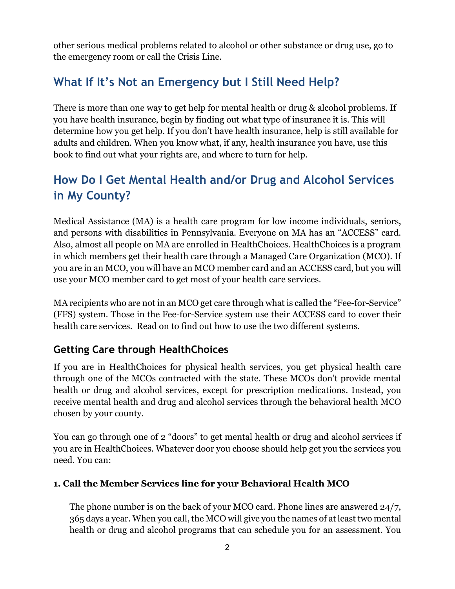other serious medical problems related to alcohol or other substance or drug use, go to the emergency room or call the Crisis Line.

# **What If It's Not an Emergency but I Still Need Help?**

There is more than one way to get help for mental health or drug & alcohol problems. If you have health insurance, begin by finding out what type of insurance it is. This will determine how you get help. If you don't have health insurance, help is still available for adults and children. When you know what, if any, health insurance you have, use this book to find out what your rights are, and where to turn for help.

# **How Do I Get Mental Health and/or Drug and Alcohol Services in My County?**

Medical Assistance (MA) is a health care program for low income individuals, seniors, and persons with disabilities in Pennsylvania. Everyone on MA has an "ACCESS" card. Also, almost all people on MA are enrolled in HealthChoices. HealthChoices is a program in which members get their health care through a Managed Care Organization (MCO). If you are in an MCO, you will have an MCO member card and an ACCESS card, but you will use your MCO member card to get most of your health care services.

MA recipients who are not in an MCO get care through what is called the "Fee-for-Service" (FFS) system. Those in the Fee-for-Service system use their ACCESS card to cover their health care services. Read on to find out how to use the two different systems.

### **Getting Care through HealthChoices**

If you are in HealthChoices for physical health services, you get physical health care through one of the MCOs contracted with the state. These MCOs don't provide mental health or drug and alcohol services, except for prescription medications. Instead, you receive mental health and drug and alcohol services through the behavioral health MCO chosen by your county.

You can go through one of 2 "doors" to get mental health or drug and alcohol services if you are in HealthChoices. Whatever door you choose should help get you the services you need. You can:

#### **1. Call the Member Services line for your Behavioral Health MCO**

The phone number is on the back of your MCO card. Phone lines are answered 24/7, 365 days a year. When you call, the MCO will give you the names of at least two mental health or drug and alcohol programs that can schedule you for an assessment. You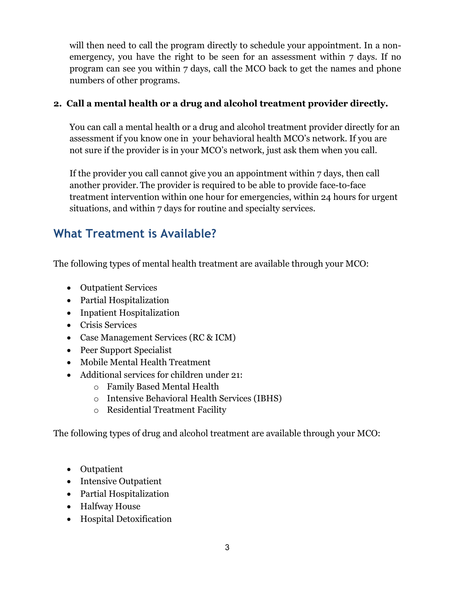will then need to call the program directly to schedule your appointment. In a nonemergency, you have the right to be seen for an assessment within 7 days. If no program can see you within 7 days, call the MCO back to get the names and phone numbers of other programs.

### **2. Call a mental health or a drug and alcohol treatment provider directly.**

You can call a mental health or a drug and alcohol treatment provider directly for an assessment if you know one in your behavioral health MCO's network. If you are not sure if the provider is in your MCO's network, just ask them when you call.

If the provider you call cannot give you an appointment within 7 days, then call another provider. The provider is required to be able to provide face-to-face treatment intervention within one hour for emergencies, within 24 hours for urgent situations, and within 7 days for routine and specialty services.

# **What Treatment is Available?**

The following types of mental health treatment are available through your MCO:

- Outpatient Services
- Partial Hospitalization
- Inpatient Hospitalization
- Crisis Services
- Case Management Services (RC & ICM)
- Peer Support Specialist
- Mobile Mental Health Treatment
- Additional services for children under 21:
	- o Family Based Mental Health
	- o Intensive Behavioral Health Services (IBHS)
	- o Residential Treatment Facility

The following types of drug and alcohol treatment are available through your MCO:

- Outpatient
- Intensive Outpatient
- Partial Hospitalization
- Halfway House
- Hospital Detoxification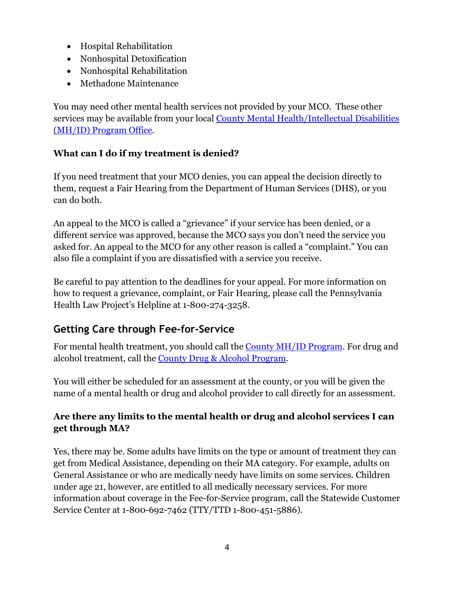- Hospital Rehabilitation
- Nonhospital Detoxification
- Nonhospital Rehabilitation
- Methadone Maintenance

You may need other mental health services not provided by your MCO. These other services may be available from your local County Mental Health/Intellectual Disabilities [\(MH/ID\) Program Office.](http://pafamiliesinc.org/understanding-systems/intellectual-disabilities/intellectual-developmental-disabilities-county-contact-information-for-pennsylvania)

### **What can I do if my treatment is denied?**

If you need treatment that your MCO denies, you can appeal the decision directly to them, request a Fair Hearing from the Department of Human Services (DHS), or you can do both.

An appeal to the MCO is called a "grievance" if your service has been denied, or a different service was approved, because the MCO says you don't need the service you asked for. An appeal to the MCO for any other reason is called a "complaint." You can also file a complaint if you are dissatisfied with a service you receive.

Be careful to pay attention to the deadlines for your appeal. For more information on how to request a grievance, complaint, or Fair Hearing, please call the Pennsylvania Health Law Project's Helpline at 1-800-274-3258.

### **Getting Care through Fee-for-Service**

For mental health treatment, you should call the [County MH/ID](http://pafamiliesinc.org/understanding-systems/intellectual-disabilities/intellectual-developmental-disabilities-county-contact-information-for-pennsylvania) Program. For drug and alcohol treatment, call the [County Drug & Alcohol Program.](https://www.ddap.pa.gov/Get%20Help%20Now/Pages/County-Drug-and-Alcohol-Offices.aspx)

You will either be scheduled for an assessment at the county, or you will be given the name of a mental health or drug and alcohol provider to call directly for an assessment.

### **Are there any limits to the mental health or drug and alcohol services I can get through MA?**

Yes, there may be. Some adults have limits on the type or amount of treatment they can get from Medical Assistance, depending on their MA category. For example, adults on General Assistance or who are medically needy have limits on some services. Children under age 21, however, are entitled to all medically necessary services. For more information about coverage in the Fee-for-Service program, call the Statewide Customer Service Center at 1-800-692-7462 (TTY/TTD 1-800-451-5886).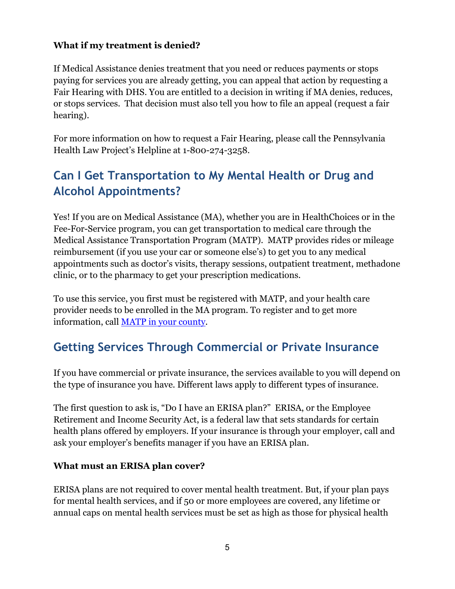#### **What if my treatment is denied?**

If Medical Assistance denies treatment that you need or reduces payments or stops paying for services you are already getting, you can appeal that action by requesting a Fair Hearing with DHS. You are entitled to a decision in writing if MA denies, reduces, or stops services. That decision must also tell you how to file an appeal (request a fair hearing).

For more information on how to request a Fair Hearing, please call the Pennsylvania Health Law Project's Helpline at 1-800-274-3258.

# **Can I Get Transportation to My Mental Health or Drug and Alcohol Appointments?**

Yes! If you are on Medical Assistance (MA), whether you are in HealthChoices or in the Fee-For-Service program, you can get transportation to medical care through the Medical Assistance Transportation Program (MATP). MATP provides rides or mileage reimbursement (if you use your car or someone else's) to get you to any medical appointments such as doctor's visits, therapy sessions, outpatient treatment, methadone clinic, or to the pharmacy to get your prescription medications.

To use this service, you first must be registered with MATP, and your health care provider needs to be enrolled in the MA program. To register and to get more information, call MATP in your [county.](http://matp.pa.gov/CountyContact.aspx)

# **Getting Services Through Commercial or Private Insurance**

If you have commercial or private insurance, the services available to you will depend on the type of insurance you have. Different laws apply to different types of insurance.

The first question to ask is, "Do I have an ERISA plan?" ERISA, or the Employee Retirement and Income Security Act, is a federal law that sets standards for certain health plans offered by employers. If your insurance is through your employer, call and ask your employer's benefits manager if you have an ERISA plan.

#### **What must an ERISA plan cover?**

ERISA plans are not required to cover mental health treatment. But, if your plan pays for mental health services, and if 50 or more employees are covered, any lifetime or annual caps on mental health services must be set as high as those for physical health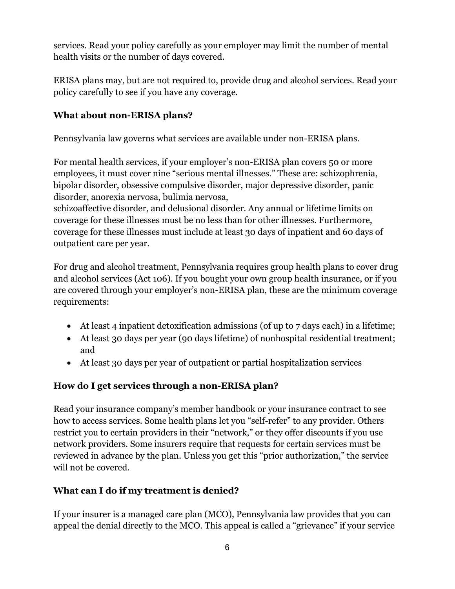services. Read your policy carefully as your employer may limit the number of mental health visits or the number of days covered.

ERISA plans may, but are not required to, provide drug and alcohol services. Read your policy carefully to see if you have any coverage.

#### **What about non-ERISA plans?**

Pennsylvania law governs what services are available under non-ERISA plans.

For mental health services, if your employer's non-ERISA plan covers 50 or more employees, it must cover nine "serious mental illnesses." These are: schizophrenia, bipolar disorder, obsessive compulsive disorder, major depressive disorder, panic disorder, anorexia nervosa, bulimia nervosa,

schizoaffective disorder, and delusional disorder. Any annual or lifetime limits on coverage for these illnesses must be no less than for other illnesses. Furthermore, coverage for these illnesses must include at least 30 days of inpatient and 60 days of outpatient care per year.

For drug and alcohol treatment, Pennsylvania requires group health plans to cover drug and alcohol services (Act 106). If you bought your own group health insurance, or if you are covered through your employer's non-ERISA plan, these are the minimum coverage requirements:

- At least 4 inpatient detoxification admissions (of up to 7 days each) in a lifetime;
- At least 30 days per year (90 days lifetime) of nonhospital residential treatment; and
- At least 30 days per year of outpatient or partial hospitalization services

#### **How do I get services through a non-ERISA plan?**

Read your insurance company's member handbook or your insurance contract to see how to access services. Some health plans let you "self-refer" to any provider. Others restrict you to certain providers in their "network," or they offer discounts if you use network providers. Some insurers require that requests for certain services must be reviewed in advance by the plan. Unless you get this "prior authorization," the service will not be covered.

### **What can I do if my treatment is denied?**

If your insurer is a managed care plan (MCO), Pennsylvania law provides that you can appeal the denial directly to the MCO. This appeal is called a "grievance" if your service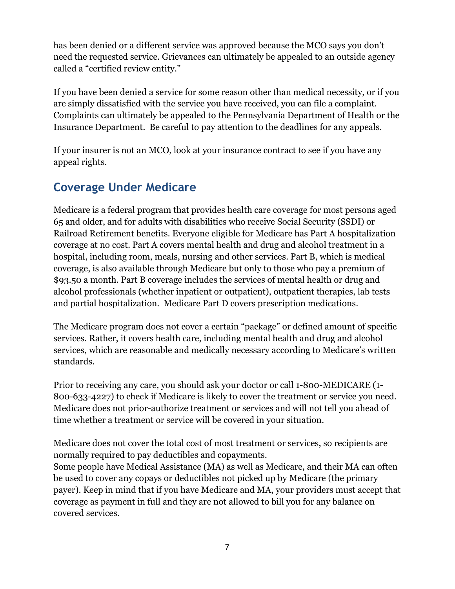has been denied or a different service was approved because the MCO says you don't need the requested service. Grievances can ultimately be appealed to an outside agency called a "certified review entity."

If you have been denied a service for some reason other than medical necessity, or if you are simply dissatisfied with the service you have received, you can file a complaint. Complaints can ultimately be appealed to the Pennsylvania Department of Health or the Insurance Department. Be careful to pay attention to the deadlines for any appeals.

If your insurer is not an MCO, look at your insurance contract to see if you have any appeal rights.

# **Coverage Under Medicare**

Medicare is a federal program that provides health care coverage for most persons aged 65 and older, and for adults with disabilities who receive Social Security (SSDI) or Railroad Retirement benefits. Everyone eligible for Medicare has Part A hospitalization coverage at no cost. Part A covers mental health and drug and alcohol treatment in a hospital, including room, meals, nursing and other services. Part B, which is medical coverage, is also available through Medicare but only to those who pay a premium of \$93.50 a month. Part B coverage includes the services of mental health or drug and alcohol professionals (whether inpatient or outpatient), outpatient therapies, lab tests and partial hospitalization. Medicare Part D covers prescription medications.

The Medicare program does not cover a certain "package" or defined amount of specific services. Rather, it covers health care, including mental health and drug and alcohol services, which are reasonable and medically necessary according to Medicare's written standards.

Prior to receiving any care, you should ask your doctor or call 1-800-MEDICARE (1- 800-633-4227) to check if Medicare is likely to cover the treatment or service you need. Medicare does not prior-authorize treatment or services and will not tell you ahead of time whether a treatment or service will be covered in your situation.

Medicare does not cover the total cost of most treatment or services, so recipients are normally required to pay deductibles and copayments. Some people have Medical Assistance (MA) as well as Medicare, and their MA can often be used to cover any copays or deductibles not picked up by Medicare (the primary payer). Keep in mind that if you have Medicare and MA, your providers must accept that coverage as payment in full and they are not allowed to bill you for any balance on covered services.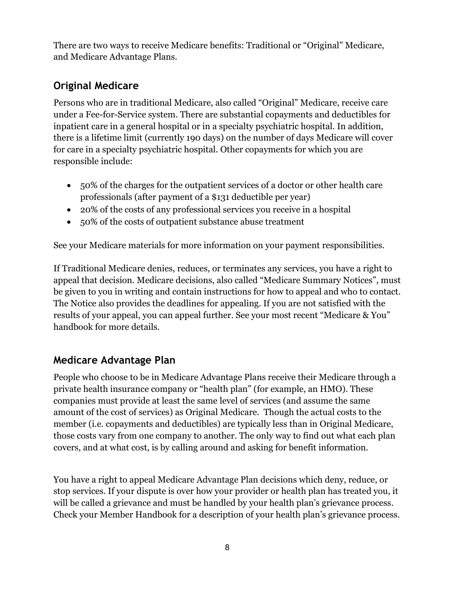There are two ways to receive Medicare benefits: Traditional or "Original" Medicare, and Medicare Advantage Plans.

### **Original Medicare**

Persons who are in traditional Medicare, also called "Original" Medicare, receive care under a Fee-for-Service system. There are substantial copayments and deductibles for inpatient care in a general hospital or in a specialty psychiatric hospital. In addition, there is a lifetime limit (currently 190 days) on the number of days Medicare will cover for care in a specialty psychiatric hospital. Other copayments for which you are responsible include:

- 50% of the charges for the outpatient services of a doctor or other health care professionals (after payment of a \$131 deductible per year)
- 20% of the costs of any professional services you receive in a hospital
- 50% of the costs of outpatient substance abuse treatment

See your Medicare materials for more information on your payment responsibilities.

If Traditional Medicare denies, reduces, or terminates any services, you have a right to appeal that decision. Medicare decisions, also called "Medicare Summary Notices", must be given to you in writing and contain instructions for how to appeal and who to contact. The Notice also provides the deadlines for appealing. If you are not satisfied with the results of your appeal, you can appeal further. See your most recent "Medicare & You" handbook for more details.

### **Medicare Advantage Plan**

People who choose to be in Medicare Advantage Plans receive their Medicare through a private health insurance company or "health plan" (for example, an HMO). These companies must provide at least the same level of services (and assume the same amount of the cost of services) as Original Medicare. Though the actual costs to the member (i.e. copayments and deductibles) are typically less than in Original Medicare, those costs vary from one company to another. The only way to find out what each plan covers, and at what cost, is by calling around and asking for benefit information.

You have a right to appeal Medicare Advantage Plan decisions which deny, reduce, or stop services. If your dispute is over how your provider or health plan has treated you, it will be called a grievance and must be handled by your health plan's grievance process. Check your Member Handbook for a description of your health plan's grievance process.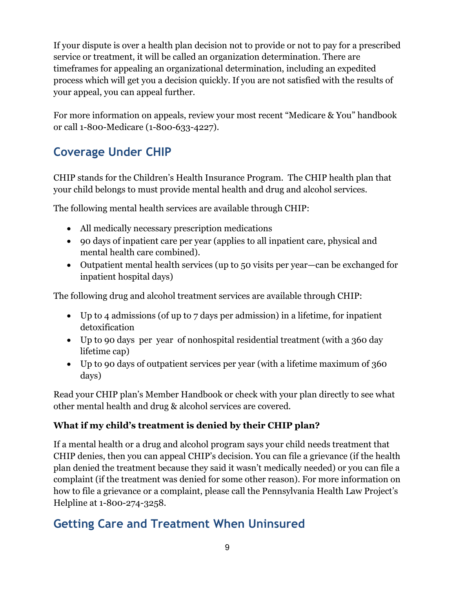If your dispute is over a health plan decision not to provide or not to pay for a prescribed service or treatment, it will be called an organization determination. There are timeframes for appealing an organizational determination, including an expedited process which will get you a decision quickly. If you are not satisfied with the results of your appeal, you can appeal further.

For more information on appeals, review your most recent "Medicare & You" handbook or call 1-800-Medicare (1-800-633-4227).

# **Coverage Under CHIP**

CHIP stands for the Children's Health Insurance Program. The CHIP health plan that your child belongs to must provide mental health and drug and alcohol services.

The following mental health services are available through CHIP:

- All medically necessary prescription medications
- 90 days of inpatient care per year (applies to all inpatient care, physical and mental health care combined).
- Outpatient mental health services (up to 50 visits per year—can be exchanged for inpatient hospital days)

The following drug and alcohol treatment services are available through CHIP:

- Up to 4 admissions (of up to 7 days per admission) in a lifetime, for inpatient detoxification
- Up to 90 days per year of nonhospital residential treatment (with a 360 day lifetime cap)
- Up to 90 days of outpatient services per year (with a lifetime maximum of 360 days)

Read your CHIP plan's Member Handbook or check with your plan directly to see what other mental health and drug & alcohol services are covered.

### **What if my child's treatment is denied by their CHIP plan?**

If a mental health or a drug and alcohol program says your child needs treatment that CHIP denies, then you can appeal CHIP's decision. You can file a grievance (if the health plan denied the treatment because they said it wasn't medically needed) or you can file a complaint (if the treatment was denied for some other reason). For more information on how to file a grievance or a complaint, please call the Pennsylvania Health Law Project's Helpline at 1-800-274-3258.

# **Getting Care and Treatment When Uninsured**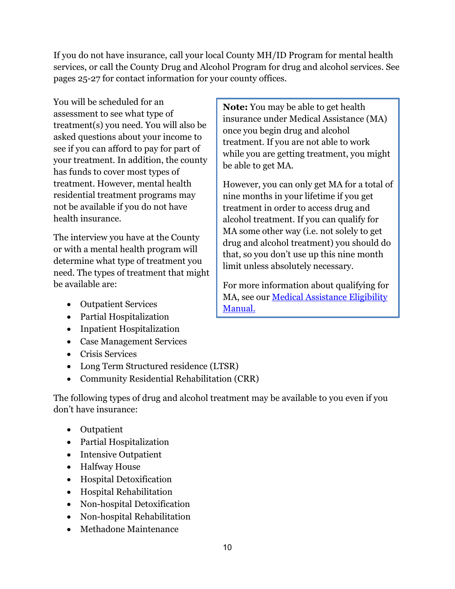If you do not have insurance, call your local County MH/ID Program for mental health services, or call the County Drug and Alcohol Program for drug and alcohol services. See pages 25-27 for contact information for your county offices.

You will be scheduled for an assessment to see what type of treatment(s) you need. You will also be asked questions about your income to see if you can afford to pay for part of your treatment. In addition, the county has funds to cover most types of treatment. However, mental health residential treatment programs may not be available if you do not have health insurance.

The interview you have at the County or with a mental health program will determine what type of treatment you need. The types of treatment that might be available are:

- Outpatient Services
- Partial Hospitalization
- Inpatient Hospitalization
- Case Management Services
- Crisis Services
- Long Term Structured residence (LTSR)
- Community Residential Rehabilitation (CRR)

The following types of drug and alcohol treatment may be available to you even if you don't have insurance:

- Outpatient
- Partial Hospitalization
- Intensive Outpatient
- Halfway House
- Hospital Detoxification
- Hospital Rehabilitation
- Non-hospital Detoxification
- Non-hospital Rehabilitation
- Methadone Maintenance

**Note:** You may be able to get health insurance under Medical Assistance (MA) once you begin drug and alcohol treatment. If you are not able to work while you are getting treatment, you might be able to get MA.

However, you can only get MA for a total of nine months in your lifetime if you get treatment in order to access drug and alcohol treatment. If you can qualify for MA some other way (i.e. not solely to get drug and alcohol treatment) you should do that, so you don't use up this nine month limit unless absolutely necessary.

For more information about qualifying for MA, see our **Medical Assistance Eligibility** [Manual.](https://www.phlp.org/uploads/attachments/ckbb0ll9k000jrhu8tzcvtvl1-ma-eligibility-manual-rev-2020.pdf)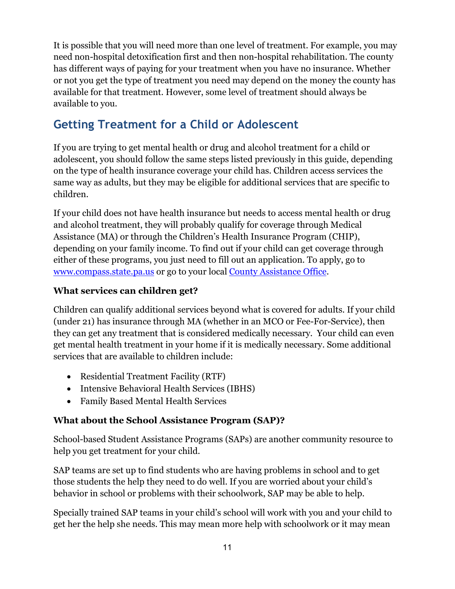It is possible that you will need more than one level of treatment. For example, you may need non-hospital detoxification first and then non-hospital rehabilitation. The county has different ways of paying for your treatment when you have no insurance. Whether or not you get the type of treatment you need may depend on the money the county has available for that treatment. However, some level of treatment should always be available to you.

# **Getting Treatment for a Child or Adolescent**

If you are trying to get mental health or drug and alcohol treatment for a child or adolescent, you should follow the same steps listed previously in this guide, depending on the type of health insurance coverage your child has. Children access services the same way as adults, but they may be eligible for additional services that are specific to children.

If your child does not have health insurance but needs to access mental health or drug and alcohol treatment, they will probably qualify for coverage through Medical Assistance (MA) or through the Children's Health Insurance Program (CHIP), depending on your family income. To find out if your child can get coverage through either of these programs, you just need to fill out an application. To apply, go to [www.compass.state.pa.us](http://www.compass.state.pa.us/) or go to your local [County Assistance Office.](https://www.dhs.pa.gov/Services/Assistance/Pages/CAO-Contact.aspx)

#### **What services can children get?**

Children can qualify additional services beyond what is covered for adults. If your child (under 21) has insurance through MA (whether in an MCO or Fee-For-Service), then they can get any treatment that is considered medically necessary. Your child can even get mental health treatment in your home if it is medically necessary. Some additional services that are available to children include:

- Residential Treatment Facility (RTF)
- Intensive Behavioral Health Services (IBHS)
- Family Based Mental Health Services

### **What about the School Assistance Program (SAP)?**

School-based Student Assistance Programs (SAPs) are another community resource to help you get treatment for your child.

SAP teams are set up to find students who are having problems in school and to get those students the help they need to do well. If you are worried about your child's behavior in school or problems with their schoolwork, SAP may be able to help.

Specially trained SAP teams in your child's school will work with you and your child to get her the help she needs. This may mean more help with schoolwork or it may mean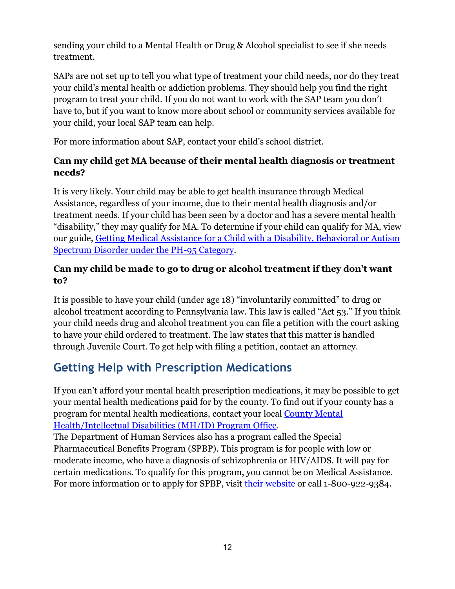sending your child to a Mental Health or Drug & Alcohol specialist to see if she needs treatment.

SAPs are not set up to tell you what type of treatment your child needs, nor do they treat your child's mental health or addiction problems. They should help you find the right program to treat your child. If you do not want to work with the SAP team you don't have to, but if you want to know more about school or community services available for your child, your local SAP team can help.

For more information about SAP, contact your child's school district.

### **Can my child get MA because of their mental health diagnosis or treatment needs?**

It is very likely. Your child may be able to get health insurance through Medical Assistance, regardless of your income, due to their mental health diagnosis and/or treatment needs. If your child has been seen by a doctor and has a severe mental health "disability," they may qualify for MA. To determine if your child can qualify for MA, view our guide, [Getting Medical Assistance for a Child with a](https://www.phlp.org/uploads/attachments/ck70i90ve0007x8u8d07hx2ok-ph-95-guide-update-april-2019.pdf) Disability, Behavioral or Autism Spectrum [Disorder under the PH-95 Category.](https://www.phlp.org/uploads/attachments/ck70i90ve0007x8u8d07hx2ok-ph-95-guide-update-april-2019.pdf)

### **Can my child be made to go to drug or alcohol treatment if they don't want to?**

It is possible to have your child (under age 18) "involuntarily committed" to drug or alcohol treatment according to Pennsylvania law. This law is called "Act 53." If you think your child needs drug and alcohol treatment you can file a petition with the court asking to have your child ordered to treatment. The law states that this matter is handled through Juvenile Court. To get help with filing a petition, contact an attorney.

# **Getting Help with Prescription Medications**

If you can't afford your mental health prescription medications, it may be possible to get your mental health medications paid for by the county. To find out if your county has a program for mental health medications, contact your local [County Mental](http://pafamiliesinc.org/understanding-systems/intellectual-disabilities/intellectual-developmental-disabilities-county-contact-information-for-pennsylvania)  [Health/Intellectual Disabilities \(MH/ID\) Program Office.](http://pafamiliesinc.org/understanding-systems/intellectual-disabilities/intellectual-developmental-disabilities-county-contact-information-for-pennsylvania)

The Department of Human Services also has a program called the Special Pharmaceutical Benefits Program (SPBP). This program is for people with low or moderate income, who have a diagnosis of schizophrenia or HIV/AIDS. It will pay for certain medications. To qualify for this program, you cannot be on Medical Assistance. For more information or to apply for SPBP, visit [their website](https://www.health.pa.gov/topics/programs/HIV/Pages/Special-Pharmaceutical-Benefits.aspx) or call 1-800-922-9384.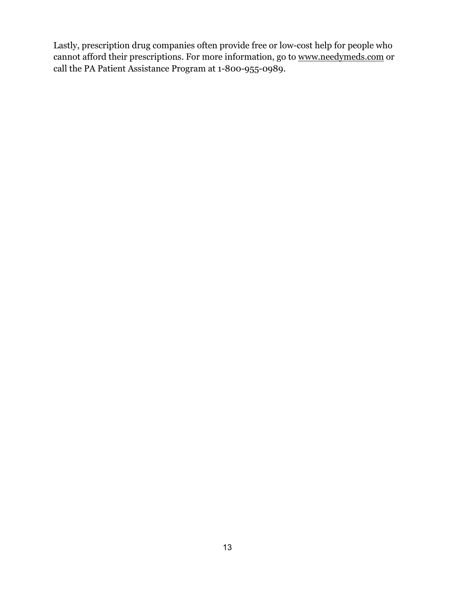Lastly, prescription drug companies often provide free or low-cost help for people who cannot afford their prescriptions. For more information, go to [www.needymeds.com](http://www.needymeds.com/) or call the PA Patient Assistance Program at 1-800-955-0989.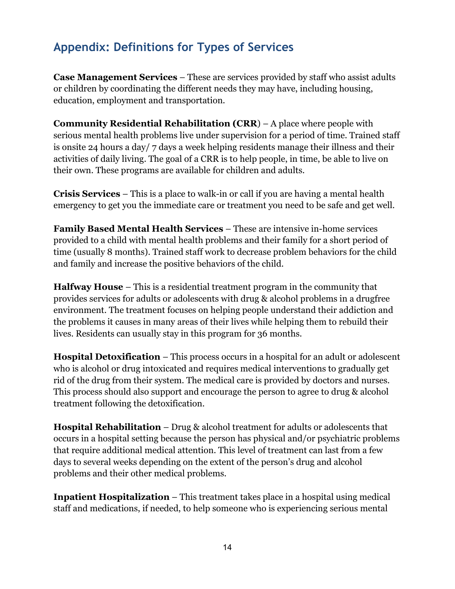# **Appendix: Definitions for Types of Services**

**Case Management Services** – These are services provided by staff who assist adults or children by coordinating the different needs they may have, including housing, education, employment and transportation.

**Community Residential Rehabilitation (CRR**) – A place where people with serious mental health problems live under supervision for a period of time. Trained staff is onsite 24 hours a day/ 7 days a week helping residents manage their illness and their activities of daily living. The goal of a CRR is to help people, in time, be able to live on their own. These programs are available for children and adults.

**Crisis Services** – This is a place to walk-in or call if you are having a mental health emergency to get you the immediate care or treatment you need to be safe and get well.

**Family Based Mental Health Services** – These are intensive in-home services provided to a child with mental health problems and their family for a short period of time (usually 8 months). Trained staff work to decrease problem behaviors for the child and family and increase the positive behaviors of the child.

**Halfway House** – This is a residential treatment program in the community that provides services for adults or adolescents with drug & alcohol problems in a drugfree environment. The treatment focuses on helping people understand their addiction and the problems it causes in many areas of their lives while helping them to rebuild their lives. Residents can usually stay in this program for 36 months.

**Hospital Detoxification** – This process occurs in a hospital for an adult or adolescent who is alcohol or drug intoxicated and requires medical interventions to gradually get rid of the drug from their system. The medical care is provided by doctors and nurses. This process should also support and encourage the person to agree to drug & alcohol treatment following the detoxification.

**Hospital Rehabilitation** – Drug & alcohol treatment for adults or adolescents that occurs in a hospital setting because the person has physical and/or psychiatric problems that require additional medical attention. This level of treatment can last from a few days to several weeks depending on the extent of the person's drug and alcohol problems and their other medical problems.

**Inpatient Hospitalization** – This treatment takes place in a hospital using medical staff and medications, if needed, to help someone who is experiencing serious mental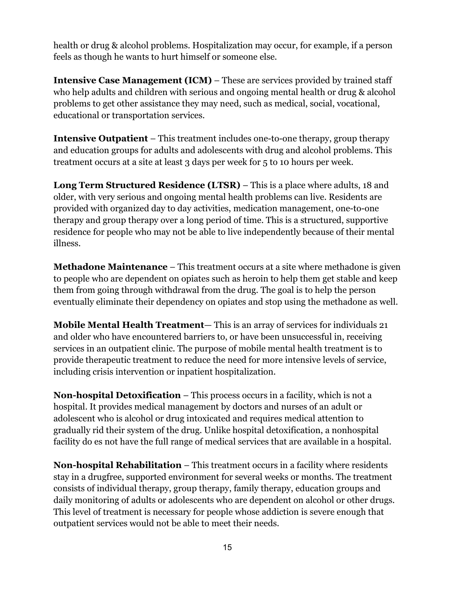health or drug & alcohol problems. Hospitalization may occur, for example, if a person feels as though he wants to hurt himself or someone else.

**Intensive Case Management (ICM)** – These are services provided by trained staff who help adults and children with serious and ongoing mental health or drug & alcohol problems to get other assistance they may need, such as medical, social, vocational, educational or transportation services.

**Intensive Outpatient** – This treatment includes one-to-one therapy, group therapy and education groups for adults and adolescents with drug and alcohol problems. This treatment occurs at a site at least 3 days per week for 5 to 10 hours per week.

**Long Term Structured Residence (LTSR)** – This is a place where adults, 18 and older, with very serious and ongoing mental health problems can live. Residents are provided with organized day to day activities, medication management, one-to-one therapy and group therapy over a long period of time. This is a structured, supportive residence for people who may not be able to live independently because of their mental illness.

**Methadone Maintenance** – This treatment occurs at a site where methadone is given to people who are dependent on opiates such as heroin to help them get stable and keep them from going through withdrawal from the drug. The goal is to help the person eventually eliminate their dependency on opiates and stop using the methadone as well.

**Mobile Mental Health Treatment**— This is an array of services for individuals 21 and older who have encountered barriers to, or have been unsuccessful in, receiving services in an outpatient clinic. The purpose of mobile mental health treatment is to provide therapeutic treatment to reduce the need for more intensive levels of service, including crisis intervention or inpatient hospitalization.

**Non-hospital Detoxification** – This process occurs in a facility, which is not a hospital. It provides medical management by doctors and nurses of an adult or adolescent who is alcohol or drug intoxicated and requires medical attention to gradually rid their system of the drug. Unlike hospital detoxification, a nonhospital facility do es not have the full range of medical services that are available in a hospital.

**Non-hospital Rehabilitation** – This treatment occurs in a facility where residents stay in a drugfree, supported environment for several weeks or months. The treatment consists of individual therapy, group therapy, family therapy, education groups and daily monitoring of adults or adolescents who are dependent on alcohol or other drugs. This level of treatment is necessary for people whose addiction is severe enough that outpatient services would not be able to meet their needs.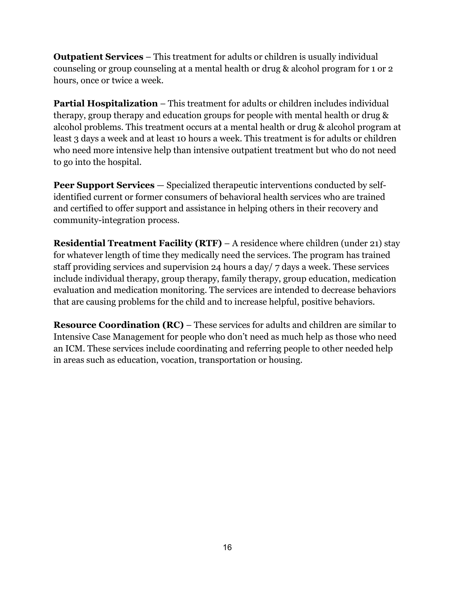**Outpatient Services** – This treatment for adults or children is usually individual counseling or group counseling at a mental health or drug & alcohol program for 1 or 2 hours, once or twice a week.

**Partial Hospitalization** – This treatment for adults or children includes individual therapy, group therapy and education groups for people with mental health or drug & alcohol problems. This treatment occurs at a mental health or drug & alcohol program at least 3 days a week and at least 10 hours a week. This treatment is for adults or children who need more intensive help than intensive outpatient treatment but who do not need to go into the hospital.

**Peer Support Services** — Specialized therapeutic interventions conducted by selfidentified current or former consumers of behavioral health services who are trained and certified to offer support and assistance in helping others in their recovery and community-integration process.

**Residential Treatment Facility (RTF)** – A residence where children (under 21) stay for whatever length of time they medically need the services. The program has trained staff providing services and supervision 24 hours a day/ 7 days a week. These services include individual therapy, group therapy, family therapy, group education, medication evaluation and medication monitoring. The services are intended to decrease behaviors that are causing problems for the child and to increase helpful, positive behaviors.

**Resource Coordination (RC)** – These services for adults and children are similar to Intensive Case Management for people who don't need as much help as those who need an ICM. These services include coordinating and referring people to other needed help in areas such as education, vocation, transportation or housing.